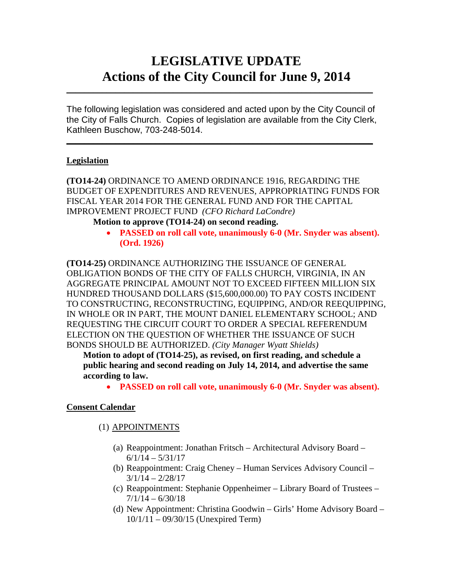# **LEGISLATIVE UPDATE Actions of the City Council for June 9, 2014**

The following legislation was considered and acted upon by the City Council of the City of Falls Church. Copies of legislation are available from the City Clerk, Kathleen Buschow, 703-248-5014.

 $\mathcal{L}_\text{max}$  and  $\mathcal{L}_\text{max}$  and  $\mathcal{L}_\text{max}$  and  $\mathcal{L}_\text{max}$  and  $\mathcal{L}_\text{max}$  and  $\mathcal{L}_\text{max}$ 

 $\mathcal{L}_\text{max}$  and  $\mathcal{L}_\text{max}$  and  $\mathcal{L}_\text{max}$  and  $\mathcal{L}_\text{max}$  and  $\mathcal{L}_\text{max}$  and  $\mathcal{L}_\text{max}$ 

#### **Legislation**

**(TO14-24)** ORDINANCE TO AMEND ORDINANCE 1916, REGARDING THE BUDGET OF EXPENDITURES AND REVENUES, APPROPRIATING FUNDS FOR FISCAL YEAR 2014 FOR THE GENERAL FUND AND FOR THE CAPITAL IMPROVEMENT PROJECT FUND *(CFO Richard LaCondre)*

**Motion to approve (TO14-24) on second reading.**

• **PASSED on roll call vote, unanimously 6-0 (Mr. Snyder was absent). (Ord. 1926)**

**(TO14-25)** ORDINANCE AUTHORIZING THE ISSUANCE OF GENERAL OBLIGATION BONDS OF THE CITY OF FALLS CHURCH, VIRGINIA, IN AN AGGREGATE PRINCIPAL AMOUNT NOT TO EXCEED FIFTEEN MILLION SIX HUNDRED THOUSAND DOLLARS (\$15,600,000.00) TO PAY COSTS INCIDENT TO CONSTRUCTING, RECONSTRUCTING, EQUIPPING, AND/OR REEQUIPPING, IN WHOLE OR IN PART, THE MOUNT DANIEL ELEMENTARY SCHOOL; AND REQUESTING THE CIRCUIT COURT TO ORDER A SPECIAL REFERENDUM ELECTION ON THE QUESTION OF WHETHER THE ISSUANCE OF SUCH BONDS SHOULD BE AUTHORIZED. *(City Manager Wyatt Shields)*

**Motion to adopt of (TO14-25), as revised, on first reading, and schedule a public hearing and second reading on July 14, 2014, and advertise the same according to law.**

• **PASSED on roll call vote, unanimously 6-0 (Mr. Snyder was absent).**

#### **Consent Calendar**

- (1) APPOINTMENTS
	- (a) Reappointment: Jonathan Fritsch Architectural Advisory Board  $6/1/14 - 5/31/17$
	- (b) Reappointment: Craig Cheney Human Services Advisory Council  $3/1/14 - 2/28/17$
	- (c) Reappointment: Stephanie Oppenheimer Library Board of Trustees  $7/1/14 - 6/30/18$
	- (d) New Appointment: Christina Goodwin Girls' Home Advisory Board 10/1/11 – 09/30/15 (Unexpired Term)